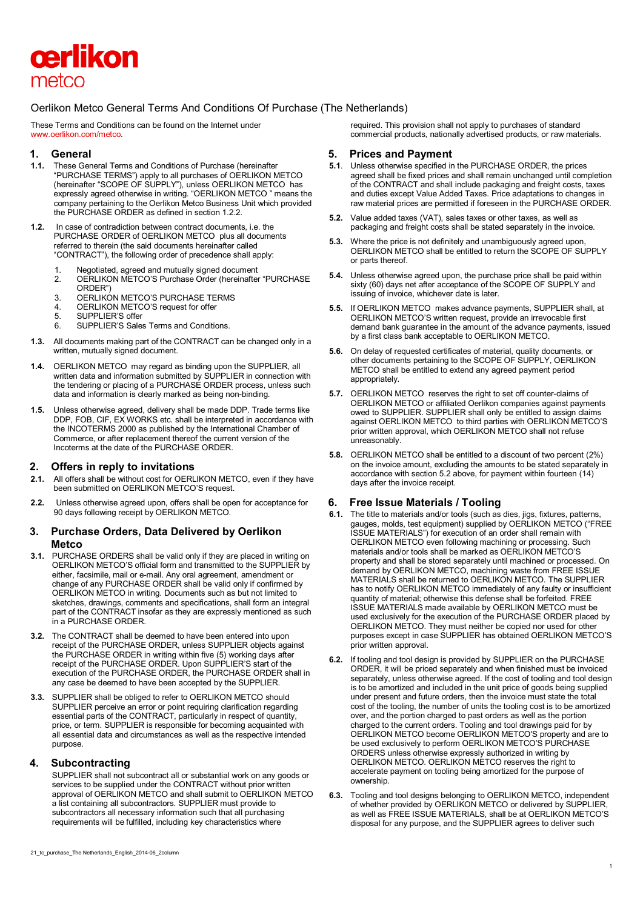

# Oerlikon Metco General Terms And Conditions Of Purchase (The Netherlands)

These Terms and Conditions can be found on the Internet under www.oerlikon.com/metco.

### **1. General**

- **1.1.** These General Terms and Conditions of Purchase (hereinafter "PURCHASE TERMS") apply to all purchases of OERLIKON METCO (hereinafter "SCOPE OF SUPPLY"), unless OERLIKON METCO has expressly agreed otherwise in writing. "OERLIKON METCO " means the company pertaining to the Oerlikon Metco Business Unit which provided the PURCHASE ORDER as defined in section 1.2.2.
- **1.2.** In case of contradiction between contract documents, i.e. the PURCHASE ORDER of OERLIKON METCO plus all documents referred to therein (the said documents hereinafter called "CONTRACT"), the following order of precedence shall apply:
	- 1. Negotiated, agreed and mutually signed document<br>2 OFRI IKON METCO'S Purchase Order (hereinafter
	- 2. OERLIKON METCO'S Purchase Order (hereinafter "PURCHASE ORDER")
	- 3. OERLIKON METCO'S PURCHASE TERMS
	- 4. **OERLIKON METCO'S request for offer**<br>5. SUPPLIER'S offer
	- 5. SUPPLIER'S offer<br>6. SUPPLIER'S Sales
	- SUPPLIER'S Sales Terms and Conditions.
- **1.3.** All documents making part of the CONTRACT can be changed only in a written, mutually signed document.
- **1.4.** OERLIKON METCO may regard as binding upon the SUPPLIER, all written data and information submitted by SUPPLIER in connection with the tendering or placing of a PURCHASE ORDER process, unless such data and information is clearly marked as being non-binding.
- **1.5.** Unless otherwise agreed, delivery shall be made DDP. Trade terms like DDP, FOB, CIF, EX WORKS etc. shall be interpreted in accordance with the INCOTERMS 2000 as published by the International Chamber of Commerce, or after replacement thereof the current version of the Incoterms at the date of the PURCHASE ORDER.

# **2. Offers in reply to invitations**

- **2.1.** All offers shall be without cost for OERLIKON METCO, even if they have been submitted on OERLIKON METCO'S request.
- **2.2.** Unless otherwise agreed upon, offers shall be open for acceptance for 90 days following receipt by OERLIKON METCO.

### **3. Purchase Orders, Data Delivered by Oerlikon Metco**

- **3.1.** PURCHASE ORDERS shall be valid only if they are placed in writing on OERLIKON METCO'S official form and transmitted to the SUPPLIER by either, facsimile, mail or e-mail. Any oral agreement, amendment or change of any PURCHASE ORDER shall be valid only if confirmed by OERLIKON METCO in writing. Documents such as but not limited to sketches, drawings, comments and specifications, shall form an integral part of the CONTRACT insofar as they are expressly mentioned as such in a PURCHASE ORDER.
- **3.2.** The CONTRACT shall be deemed to have been entered into upon receipt of the PURCHASE ORDER, unless SUPPLIER objects against the PURCHASE ORDER in writing within five (5) working days after receipt of the PURCHASE ORDER. Upon SUPPLIER'S start of the execution of the PURCHASE ORDER, the PURCHASE ORDER shall in any case be deemed to have been accepted by the SUPPLIER.
- **3.3.** SUPPLIER shall be obliged to refer to OERLIKON METCO should SUPPLIER perceive an error or point requiring clarification regarding essential parts of the CONTRACT, particularly in respect of quantity, price, or term. SUPPLIER is responsible for becoming acquainted with all essential data and circumstances as well as the respective intended purpose.

### **4. Subcontracting**

SUPPLIER shall not subcontract all or substantial work on any goods or services to be supplied under the CONTRACT without prior written approval of OERLIKON METCO and shall submit to OERLIKON METCO a list containing all subcontractors. SUPPLIER must provide to subcontractors all necessary information such that all purchasing requirements will be fulfilled, including key characteristics where

### **5. Prices and Payment**

- **5.1**. Unless otherwise specified in the PURCHASE ORDER, the prices agreed shall be fixed prices and shall remain unchanged until completion of the CONTRACT and shall include packaging and freight costs, taxes and duties except Value Added Taxes. Price adaptations to changes in raw material prices are permitted if foreseen in the PURCHASE ORDER.
- **5.2.** Value added taxes (VAT), sales taxes or other taxes, as well as packaging and freight costs shall be stated separately in the invoice.
- **5.3.** Where the price is not definitely and unambiguously agreed upon, OERLIKON METCO shall be entitled to return the SCOPE OF SUPPLY or parts thereof.
- **5.4.** Unless otherwise agreed upon, the purchase price shall be paid within sixty (60) days net after acceptance of the SCOPE OF SUPPLY and issuing of invoice, whichever date is later.
- **5.5.** If OERLIKON METCO makes advance payments, SUPPLIER shall, at OERLIKON METCO'S written request, provide an irrevocable first demand bank guarantee in the amount of the advance payments, issued by a first class bank acceptable to OERLIKON METCO.
- **5.6.** On delay of requested certificates of material, quality documents, or other documents pertaining to the SCOPE OF SUPPLY, OERLIKON METCO shall be entitled to extend any agreed payment period appropriately.
- **5.7.** OERLIKON METCO reserves the right to set off counter-claims of OERLIKON METCO or affiliated Oerlikon companies against payments owed to SUPPLIER. SUPPLIER shall only be entitled to assign claims against OERLIKON METCO to third parties with OERLIKON METCO'S prior written approval, which OERLIKON METCO shall not refuse unreasonably.
- **5.8.** OERLIKON METCO shall be entitled to a discount of two percent (2%) on the invoice amount, excluding the amounts to be stated separately in accordance with section 5.2 above, for payment within fourteen (14) days after the invoice receipt.

### **6. Free Issue Materials / Tooling**

- **6.1.** The title to materials and/or tools (such as dies, jigs, fixtures, patterns, gauges, molds, test equipment) supplied by OERLIKON METCO ("FREE ISSUE MATERIALS") for execution of an order shall remain with OERLIKON METCO even following machining or processing. Such materials and/or tools shall be marked as OERLIKON METCO'S property and shall be stored separately until machined or processed. On demand by OERLIKON METCO, machining waste from FREE ISSUE MATERIALS shall be returned to OERLIKON METCO. The SUPPLIER has to notify OERLIKON METCO immediately of any faulty or insufficient quantity of material; otherwise this defense shall be forfeited. FREE ISSUE MATERIALS made available by OERLIKON METCO must be used exclusively for the execution of the PURCHASE ORDER placed by OERLIKON METCO. They must neither be copied nor used for other purposes except in case SUPPLIER has obtained OERLIKON METCO'S prior written approval.
- **6.2.** If tooling and tool design is provided by SUPPLIER on the PURCHASE ORDER, it will be priced separately and when finished must be invoiced separately, unless otherwise agreed. If the cost of tooling and tool design is to be amortized and included in the unit price of goods being supplied under present and future orders, then the invoice must state the total cost of the tooling, the number of units the tooling cost is to be amortized over, and the portion charged to past orders as well as the portion charged to the current orders. Tooling and tool drawings paid for by OERLIKON METCO become OERLIKON METCO'S property and are to be used exclusively to perform OERLIKON METCO'S PURCHASE ORDERS unless otherwise expressly authorized in writing by OERLIKON METCO. OERLIKON METCO reserves the right to accelerate payment on tooling being amortized for the purpose of ownership.
- **6.3.** Tooling and tool designs belonging to OERLIKON METCO, independent of whether provided by OERLIKON METCO or delivered by SUPPLIER, as well as FREE ISSUE MATERIALS, shall be at OERLIKON METCO'S disposal for any purpose, and the SUPPLIER agrees to deliver such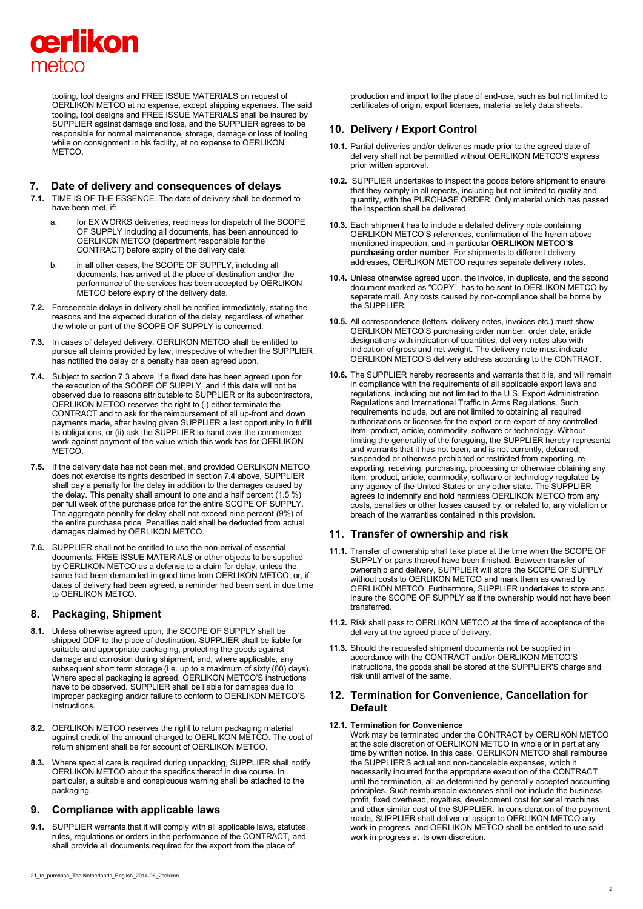# cerlikon metco

tooling, tool designs and FREE ISSUE MATERIALS on request of OERLIKON METCO at no expense, except shipping expenses. The said tooling, tool designs and FREE ISSUE MATERIALS shall be insured by SUPPLIER against damage and loss, and the SUPPLIER agrees to be responsible for normal maintenance, storage, damage or loss of tooling while on consignment in his facility, at no expense to OERLIKON **METCO** 

### **7. Date of delivery and consequences of delays**

- **7.1.** TIME IS OF THE ESSENCE. The date of delivery shall be deemed to have been met, if:
	- a. for EX WORKS deliveries, readiness for dispatch of the SCOPE OF SUPPLY including all documents, has been announced to OERLIKON METCO (department responsible for the CONTRACT) before expiry of the delivery date;
	- b. in all other cases, the SCOPE OF SUPPLY, including all documents, has arrived at the place of destination and/or the performance of the services has been accepted by OERLIKON METCO before expiry of the delivery date.
- **7.2.** Foreseeable delays in delivery shall be notified immediately, stating the reasons and the expected duration of the delay, regardless of whether the whole or part of the SCOPE OF SUPPLY is concerned.
- **7.3.** In cases of delayed delivery, OERLIKON METCO shall be entitled to pursue all claims provided by law, irrespective of whether the SUPPLIER has notified the delay or a penalty has been agreed upon.
- **7.4.** Subject to section 7.3 above, if a fixed date has been agreed upon for the execution of the SCOPE OF SUPPLY, and if this date will not be observed due to reasons attributable to SUPPLIER or its subcontractors, OERLIKON METCO reserves the right to (i) either terminate the CONTRACT and to ask for the reimbursement of all up-front and down payments made, after having given SUPPLIER a last opportunity to fulfill its obligations, or (ii) ask the SUPPLIER to hand over the commenced work against payment of the value which this work has for OERLIKON METCO.
- **7.5.** If the delivery date has not been met, and provided OERLIKON METCO does not exercise its rights described in section 7.4 above, SUPPLIER shall pay a penalty for the delay in addition to the damages caused by the delay. This penalty shall amount to one and a half percent (1.5 %) per full week of the purchase price for the entire SCOPE OF SUPPLY. The aggregate penalty for delay shall not exceed nine percent (9%) of the entire purchase price. Penalties paid shall be deducted from actual damages claimed by OERLIKON METCO.
- **7.6.** SUPPLIER shall not be entitled to use the non-arrival of essential documents, FREE ISSUE MATERIALS or other objects to be supplied by OERLIKON METCO as a defense to a claim for delay, unless the same had been demanded in good time from OERLIKON METCO, or, if dates of delivery had been agreed, a reminder had been sent in due time to OERLIKON METCO.

# **8. Packaging, Shipment**

- **8.1.** Unless otherwise agreed upon, the SCOPE OF SUPPLY shall be shipped DDP to the place of destination. SUPPLIER shall be liable for suitable and appropriate packaging, protecting the goods against damage and corrosion during shipment, and, where applicable, any subsequent short term storage (i.e. up to a maximum of sixty (60) days). Where special packaging is agreed, OERLIKON METCO'S instructions have to be observed. SUPPLIER shall be liable for damages due to improper packaging and/or failure to conform to OERLIKON METCO'S instructions.
- **8.2.** OERLIKON METCO reserves the right to return packaging material against credit of the amount charged to OERLIKON METCO. The cost of return shipment shall be for account of OERLIKON METCO.
- **8.3.** Where special care is required during unpacking, SUPPLIER shall notify OERLIKON METCO about the specifics thereof in due course. In particular, a suitable and conspicuous warning shall be attached to the packaging.

# **9. Compliance with applicable laws**

**9.1.** SUPPLIER warrants that it will comply with all applicable laws, statutes, rules, regulations or orders in the performance of the CONTRACT, and shall provide all documents required for the export from the place of

production and import to the place of end-use, such as but not limited to certificates of origin, export licenses, material safety data sheets.

# **10. Delivery / Export Control**

- **10.1.** Partial deliveries and/or deliveries made prior to the agreed date of delivery shall not be permitted without OERLIKON METCO'S express prior written approval.
- **10.2.** SUPPLIER undertakes to inspect the goods before shipment to ensure that they comply in all repects, including but not limited to quality and quantity, with the PURCHASE ORDER. Only material which has passed the inspection shall be delivered.
- **10.3.** Each shipment has to include a detailed delivery note containing OERLIKON METCO'S references, confirmation of the herein above mentioned inspection, and in particular **OERLIKON METCO'S purchasing order number**. For shipments to different delivery addresses, OERLIKON METCO requires separate delivery notes.
- **10.4.** Unless otherwise agreed upon, the invoice, in duplicate, and the second document marked as "COPY", has to be sent to OERLIKON METCO by separate mail. Any costs caused by non-compliance shall be borne by the SUPPLIER.
- **10.5.** All correspondence (letters, delivery notes, invoices etc.) must show OERLIKON METCO'S purchasing order number, order date, article designations with indication of quantities, delivery notes also with indication of gross and net weight. The delivery note must indicate OERLIKON METCO'S delivery address according to the CONTRACT.
- **10.6.** The SUPPLIER hereby represents and warrants that it is, and will remain in compliance with the requirements of all applicable export laws and regulations, including but not limited to the U.S. Export Administration Regulations and International Traffic in Arms Regulations. Such requirements include, but are not limited to obtaining all required authorizations or licenses for the export or re-export of any controlled item, product, article, commodity, software or technology. Without limiting the generality of the foregoing, the SUPPLIER hereby represents and warrants that it has not been, and is not currently, debarred, suspended or otherwise prohibited or restricted from exporting, reexporting, receiving, purchasing, processing or otherwise obtaining any item, product, article, commodity, software or technology regulated by any agency of the United States or any other state. The SUPPLIER agrees to indemnify and hold harmless OERLIKON METCO from any costs, penalties or other losses caused by, or related to, any violation or breach of the warranties contained in this provision.

# **11. Transfer of ownership and risk**

- **11.1.** Transfer of ownership shall take place at the time when the SCOPE OF SUPPLY or parts thereof have been finished. Between transfer of ownership and delivery, SUPPLIER will store the SCOPE OF SUPPLY without costs to OERLIKON METCO and mark them as owned by OERLIKON METCO. Furthermore, SUPPLIER undertakes to store and insure the SCOPE OF SUPPLY as if the ownership would not have been transferred.
- **11.2.** Risk shall pass to OERLIKON METCO at the time of acceptance of the delivery at the agreed place of delivery.
- **11.3.** Should the requested shipment documents not be supplied in accordance with the CONTRACT and/or OERLIKON METCO'S instructions, the goods shall be stored at the SUPPLIER'S charge and risk until arrival of the same.

### **12. Termination for Convenience, Cancellation for Default**

#### **12.1. Termination for Convenience**

Work may be terminated under the CONTRACT by OERLIKON METCO at the sole discretion of OERLIKON METCO in whole or in part at any time by written notice. In this case, OERLIKON METCO shall reimburse the SUPPLIER'S actual and non-cancelable expenses, which it necessarily incurred for the appropriate execution of the CONTRACT until the termination, all as determined by generally accepted accounting principles. Such reimbursable expenses shall not include the business profit, fixed overhead, royalties, development cost for serial machines and other similar cost of the SUPPLIER. In consideration of the payment made, SUPPLIER shall deliver or assign to OERLIKON METCO any work in progress, and OERLIKON METCO shall be entitled to use said work in progress at its own discretion.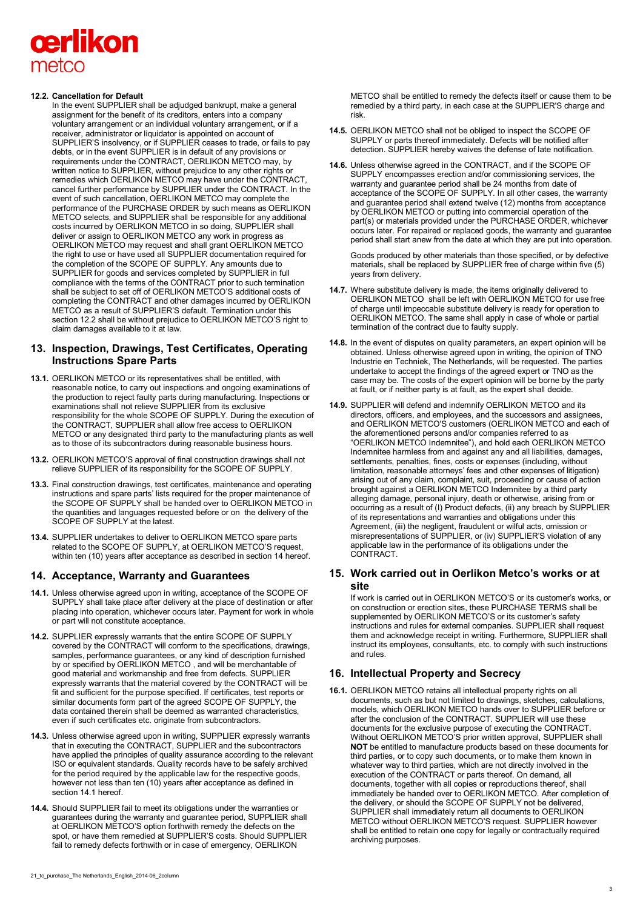# cerlikon metco

### **12.2. Cancellation for Default**

In the event SUPPLIER shall be adjudged bankrupt, make a general assignment for the benefit of its creditors, enters into a company voluntary arrangement or an individual voluntary arrangement, or if a receiver, administrator or liquidator is appointed on account of SUPPLIER'S insolvency, or if SUPPLIER ceases to trade, or fails to pay debts, or in the event SUPPLIER is in default of any provisions or requirements under the CONTRACT, OERLIKON METCO may, by written notice to SUPPLIER, without prejudice to any other rights or remedies which OERLIKON METCO may have under the CONTRACT, cancel further performance by SUPPLIER under the CONTRACT. In the event of such cancellation, OERLIKON METCO may complete the performance of the PURCHASE ORDER by such means as OERLIKON METCO selects, and SUPPLIER shall be responsible for any additional costs incurred by OERLIKON METCO in so doing, SUPPLIER shall deliver or assign to OERLIKON METCO any work in progress as OERLIKON METCO may request and shall grant OERLIKON METCO the right to use or have used all SUPPLIER documentation required for the completion of the SCOPE OF SUPPLY. Any amounts due to SUPPLIER for goods and services completed by SUPPLIER in full compliance with the terms of the CONTRACT prior to such termination shall be subject to set off of OERLIKON METCO'S additional costs of completing the CONTRACT and other damages incurred by OERLIKON METCO as a result of SUPPLIER'S default. Termination under this section 12.2 shall be without prejudice to OERLIKON METCO'S right to claim damages available to it at law.

# **13. Inspection, Drawings, Test Certificates, Operating Instructions Spare Parts**

- **13.1.** OERLIKON METCO or its representatives shall be entitled, with reasonable notice, to carry out inspections and ongoing examinations of the production to reject faulty parts during manufacturing. Inspections or examinations shall not relieve SUPPLIER from its exclusive responsibility for the whole SCOPE OF SUPPLY. During the execution of the CONTRACT, SUPPLIER shall allow free access to OERLIKON METCO or any designated third party to the manufacturing plants as well as to those of its subcontractors during reasonable business hours.
- **13.2.** OERLIKON METCO'S approval of final construction drawings shall not relieve SUPPLIER of its responsibility for the SCOPE OF SUPPLY.
- **13.3.** Final construction drawings, test certificates, maintenance and operating instructions and spare parts' lists required for the proper maintenance of the SCOPE OF SUPPLY shall be handed over to OERLIKON METCO in the quantities and languages requested before or on the delivery of the SCOPE OF SUPPLY at the latest.
- **13.4.** SUPPLIER undertakes to deliver to OERLIKON METCO spare parts related to the SCOPE OF SUPPLY, at OERLIKON METCO'S request, within ten (10) years after acceptance as described in section 14 hereof.

# **14. Acceptance, Warranty and Guarantees**

- **14.1.** Unless otherwise agreed upon in writing, acceptance of the SCOPE OF SUPPLY shall take place after delivery at the place of destination or after placing into operation, whichever occurs later. Payment for work in whole or part will not constitute acceptance.
- **14.2.** SUPPLIER expressly warrants that the entire SCOPE OF SUPPLY covered by the CONTRACT will conform to the specifications, drawings, samples, performance guarantees, or any kind of description furnished by or specified by OERLIKON METCO , and will be merchantable of good material and workmanship and free from defects. SUPPLIER expressly warrants that the material covered by the CONTRACT will be fit and sufficient for the purpose specified. If certificates, test reports or similar documents form part of the agreed SCOPE OF SUPPLY, the data contained therein shall be deemed as warranted characteristics, even if such certificates etc. originate from subcontractors.
- **14.3.** Unless otherwise agreed upon in writing, SUPPLIER expressly warrants that in executing the CONTRACT, SUPPLIER and the subcontractors have applied the principles of quality assurance according to the relevant ISO or equivalent standards. Quality records have to be safely archived for the period required by the applicable law for the respective goods, however not less than ten (10) years after acceptance as defined in section 14.1 hereof.
- **14.4.** Should SUPPLIER fail to meet its obligations under the warranties or guarantees during the warranty and guarantee period, SUPPLIER shall at OERLIKON METCO'S option forthwith remedy the defects on the spot, or have them remedied at SUPPLIER'S costs. Should SUPPLIER fail to remedy defects forthwith or in case of emergency, OERLIKON
- **14.5.** OERLIKON METCO shall not be obliged to inspect the SCOPE OF SUPPLY or parts thereof immediately. Defects will be notified after detection. SUPPLIER hereby waives the defense of late notification.
- **14.6.** Unless otherwise agreed in the CONTRACT, and if the SCOPE OF SUPPLY encompasses erection and/or commissioning services, the warranty and guarantee period shall be 24 months from date of acceptance of the SCOPE OF SUPPLY. In all other cases, the warranty and guarantee period shall extend twelve (12) months from acceptance by OERLIKON METCO or putting into commercial operation of the part(s) or materials provided under the PURCHASE ORDER, whichever occurs later. For repaired or replaced goods, the warranty and guarantee period shall start anew from the date at which they are put into operation.

Goods produced by other materials than those specified, or by defective materials, shall be replaced by SUPPLIER free of charge within five (5) years from delivery.

- **14.7.** Where substitute delivery is made, the items originally delivered to OERLIKON METCO shall be left with OERLIKON METCO for use free of charge until impeccable substitute delivery is ready for operation to OERLIKON METCO. The same shall apply in case of whole or partial termination of the contract due to faulty supply.
- **14.8.** In the event of disputes on quality parameters, an expert opinion will be obtained. Unless otherwise agreed upon in writing, the opinion of TNO Industrie en Techniek, The Netherlands, will be requested. The parties undertake to accept the findings of the agreed expert or TNO as the case may be. The costs of the expert opinion will be borne by the party at fault, or if neither party is at fault, as the expert shall decide.
- **14.9.** SUPPLIER will defend and indemnify OERLIKON METCO and its directors, officers, and employees, and the successors and assignees, and OERLIKON METCO'S customers (OERLIKON METCO and each of the aforementioned persons and/or companies referred to as "OERLIKON METCO Indemnitee"), and hold each OERLIKON METCO Indemnitee harmless from and against any and all liabilities, damages, settlements, penalties, fines, costs or expenses (including, without limitation, reasonable attorneys' fees and other expenses of litigation) arising out of any claim, complaint, suit, proceeding or cause of action brought against a OERLIKON METCO Indemnitee by a third party alleging damage, personal injury, death or otherwise, arising from or occurring as a result of (I) Product defects, (ii) any breach by SUPPLIER of its representations and warranties and obligations under this Agreement, (iii) the negligent, fraudulent or wilful acts, omission or misrepresentations of SUPPLIER, or (iv) SUPPLIER'S violation of any applicable law in the performance of its obligations under the CONTRACT.

# **15. Work carried out in Oerlikon Metco's works or at site**

If work is carried out in OERLIKON METCO'S or its customer's works, or on construction or erection sites, these PURCHASE TERMS shall be supplemented by OERLIKON METCO'S or its customer's safety instructions and rules for external companies. SUPPLIER shall request them and acknowledge receipt in writing. Furthermore, SUPPLIER shall instruct its employees, consultants, etc. to comply with such instructions and rules.

# **16. Intellectual Property and Secrecy**

**16.1.** OERLIKON METCO retains all intellectual property rights on all documents, such as but not limited to drawings, sketches, calculations, models, which OERLIKON METCO hands over to SUPPLIER before or after the conclusion of the CONTRACT. SUPPLIER will use these documents for the exclusive purpose of executing the CONTRACT. Without OERLIKON METCO'S prior written approval, SUPPLIER shall **NOT** be entitled to manufacture products based on these documents for third parties, or to copy such documents, or to make them known in whatever way to third parties, which are not directly involved in the execution of the CONTRACT or parts thereof. On demand, all documents, together with all copies or reproductions thereof, shall immediately be handed over to OERLIKON METCO. After completion of the delivery, or should the SCOPE OF SUPPLY not be delivered, SUPPLIER shall immediately return all documents to OERLIKON METCO without OERLIKON METCO'S request. SUPPLIER however shall be entitled to retain one copy for legally or contractually required archiving purposes.